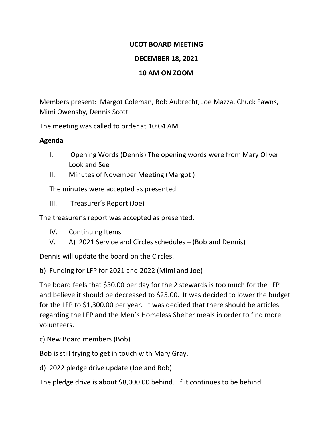## **UCOT BOARD MEETING**

# **DECEMBER 18, 2021**

#### **10 AM ON ZOOM**

Members present: Margot Coleman, Bob Aubrecht, Joe Mazza, Chuck Fawns, Mimi Owensby, Dennis Scott

The meeting was called to order at 10:04 AM

## **Agenda**

- I. Opening Words (Dennis) The opening words were from Mary Oliver Look and See
- II. Minutes of November Meeting (Margot )

The minutes were accepted as presented

III. Treasurer's Report (Joe)

The treasurer's report was accepted as presented.

- IV. Continuing Items
- V. A) 2021 Service and Circles schedules (Bob and Dennis)

Dennis will update the board on the Circles.

b) Funding for LFP for 2021 and 2022 (Mimi and Joe)

The board feels that \$30.00 per day for the 2 stewards is too much for the LFP and believe it should be decreased to \$25.00. It was decided to lower the budget for the LFP to \$1,300.00 per year. It was decided that there should be articles regarding the LFP and the Men's Homeless Shelter meals in order to find more volunteers.

c) New Board members (Bob)

Bob is still trying to get in touch with Mary Gray.

d) 2022 pledge drive update (Joe and Bob)

The pledge drive is about \$8,000.00 behind. If it continues to be behind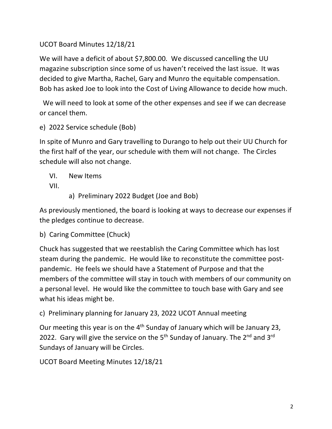UCOT Board Minutes 12/18/21

We will have a deficit of about \$7,800.00. We discussed cancelling the UU magazine subscription since some of us haven't received the last issue. It was decided to give Martha, Rachel, Gary and Munro the equitable compensation. Bob has asked Joe to look into the Cost of Living Allowance to decide how much.

 We will need to look at some of the other expenses and see if we can decrease or cancel them.

e) 2022 Service schedule (Bob)

In spite of Munro and Gary travelling to Durango to help out their UU Church for the first half of the year, our schedule with them will not change. The Circles schedule will also not change.

VI. New Items VII.

a) Preliminary 2022 Budget (Joe and Bob)

As previously mentioned, the board is looking at ways to decrease our expenses if the pledges continue to decrease.

b) Caring Committee (Chuck)

Chuck has suggested that we reestablish the Caring Committee which has lost steam during the pandemic. He would like to reconstitute the committee postpandemic. He feels we should have a Statement of Purpose and that the members of the committee will stay in touch with members of our community on a personal level. He would like the committee to touch base with Gary and see what his ideas might be.

c) Preliminary planning for January 23, 2022 UCOT Annual meeting

Our meeting this year is on the 4<sup>th</sup> Sunday of January which will be January 23, 2022. Gary will give the service on the  $5<sup>th</sup>$  Sunday of January. The  $2<sup>nd</sup>$  and  $3<sup>rd</sup>$ Sundays of January will be Circles.

UCOT Board Meeting Minutes 12/18/21